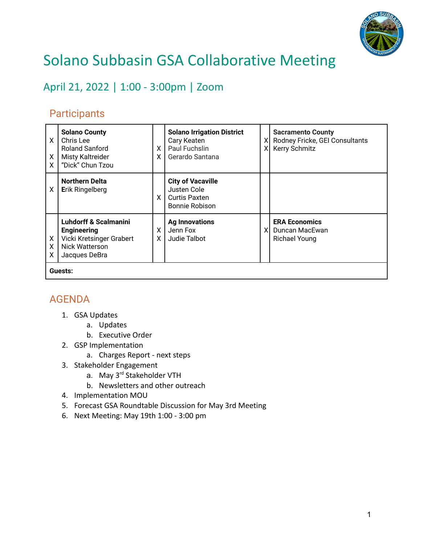

## Solano Subbasin GSA Collaborative Meeting

April 21, 2022 | 1:00 - 3:00pm | Zoom

## **Participants**

| X<br>X<br>X | <b>Solano County</b><br>Chris Lee<br><b>Roland Sanford</b><br><b>Misty Kaltreider</b><br>"Dick" Chun Tzou             | $\times$<br>X. | <b>Solano Irrigation District</b><br>Cary Keaten<br>Paul Fuchslin<br>Gerardo Santana | $\mathsf{X}$<br>$\mathsf{X}$ | <b>Sacramento County</b><br>Rodney Fricke, GEI Consultants<br>Kerry Schmitz |
|-------------|-----------------------------------------------------------------------------------------------------------------------|----------------|--------------------------------------------------------------------------------------|------------------------------|-----------------------------------------------------------------------------|
| X           | <b>Northern Delta</b><br><b>Erik Ringelberg</b>                                                                       | $\times$       | <b>City of Vacaville</b><br>Justen Cole<br>Curtis Paxten<br>Bonnie Robison           |                              |                                                                             |
| X<br>X<br>X | <b>Luhdorff &amp; Scalmanini</b><br><b>Engineering</b><br>Vicki Kretsinger Grabert<br>Nick Watterson<br>Jacques DeBra | X.<br>X.       | <b>Ag Innovations</b><br>Jenn Fox<br>Judie Talbot                                    | XI                           | <b>ERA Economics</b><br>Duncan MacEwan<br><b>Richael Young</b>              |
| Guests:     |                                                                                                                       |                |                                                                                      |                              |                                                                             |

## AGENDA

- 1. GSA Updates
	- a. Updates
	- b. Executive Order
- 2. GSP Implementation
	- a. Charges Report next steps
- 3. Stakeholder Engagement
	- a. May 3<sup>rd</sup> Stakeholder VTH
	- b. Newsletters and other outreach
- 4. Implementation MOU
- 5. Forecast GSA Roundtable Discussion for May 3rd Meeting
- 6. Next Meeting: May 19th 1:00 3:00 pm